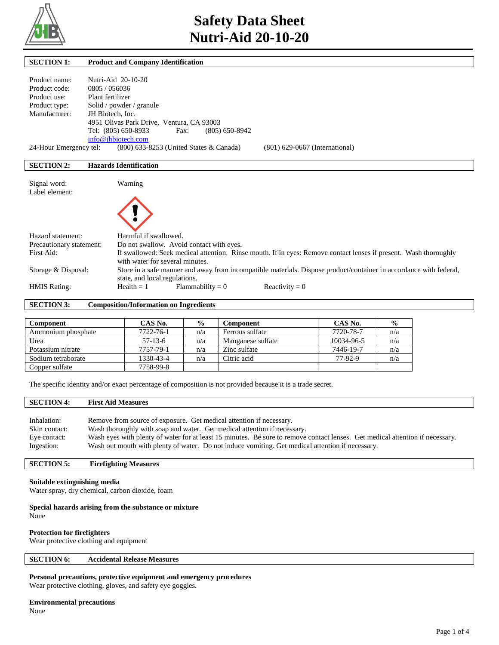

| <b>SECTION 1:</b>        | <b>Product and Company Identification</b>                                                                          |
|--------------------------|--------------------------------------------------------------------------------------------------------------------|
|                          |                                                                                                                    |
| Product name:            | Nutri-Aid 20-10-20                                                                                                 |
| Product code:            | 0805 / 056036                                                                                                      |
| Product use:             | Plant fertilizer                                                                                                   |
| Product type:            | Solid / powder / granule                                                                                           |
| Manufacturer:            | JH Biotech, Inc.                                                                                                   |
|                          | 4951 Olivas Park Drive, Ventura, CA 93003                                                                          |
|                          | Tel: (805) 650-8933<br>$(805)$ 650-8942<br>Fax:                                                                    |
|                          | info@ihbiotech.com                                                                                                 |
| 24-Hour Emergency tel:   | (800) 633-8253 (United States & Canada)<br>$(801)$ 629-0667 (International)                                        |
|                          |                                                                                                                    |
| <b>SECTION 2:</b>        | <b>Hazards Identification</b>                                                                                      |
|                          |                                                                                                                    |
| Signal word:             | Warning                                                                                                            |
| Label element:           |                                                                                                                    |
|                          |                                                                                                                    |
|                          |                                                                                                                    |
|                          |                                                                                                                    |
|                          |                                                                                                                    |
| Hazard statement:        | Harmful if swallowed.                                                                                              |
| Precautionary statement: | Do not swallow. Avoid contact with eyes.                                                                           |
| First Aid:               | If swallowed: Seek medical attention. Rinse mouth. If in eyes: Remove contact lenses if present. Wash thoroughly   |
|                          | with water for several minutes.                                                                                    |
| Storage & Disposal:      | Store in a safe manner and away from incompatible materials. Dispose product/container in accordance with federal, |
|                          | state, and local regulations.                                                                                      |
| <b>HMIS Rating:</b>      | $Flammability = 0$<br>Reactivity = $0$<br>$Health = 1$                                                             |

**SECTION 3: Composition/Information on Ingredients** 

| <b>Component</b>   | CAS No.   | $\frac{0}{0}$ | Component         | CAS No.    | $\frac{0}{0}$ |
|--------------------|-----------|---------------|-------------------|------------|---------------|
| Ammonium phosphate | 7722-76-1 | n/a           | Ferrous sulfate   | 7720-78-7  | n/a           |
| Urea               | $57-13-6$ | n/a           | Manganese sulfate | 10034-96-5 | n/a           |
| Potassium nitrate  | 7757-79-1 | n/a           | Zinc sulfate      | 7446-19-7  | n/a           |
| Sodium tetraborate | 1330-43-4 | n/a           | Citric acid       | 77-92-9    | n/a           |
| Copper sulfate     | 7758-99-8 |               |                   |            |               |

The specific identity and/or exact percentage of composition is not provided because it is a trade secret.

# **SECTION 4: First Aid Measures**

| Inhalation:   | Remove from source of exposure. Get medical attention if necessary.                                                           |
|---------------|-------------------------------------------------------------------------------------------------------------------------------|
| Skin contact: | Wash thoroughly with soap and water. Get medical attention if necessary.                                                      |
| Eye contact:  | Wash eyes with plenty of water for at least 15 minutes. Be sure to remove contact lenses. Get medical attention if necessary. |
| Ingestion:    | Wash out mouth with plenty of water. Do not induce vomiting. Get medical attention if necessary.                              |

## **SECTION 5: Firefighting Measures**

### **Suitable extinguishing media**

Water spray, dry chemical, carbon dioxide, foam

**Special hazards arising from the substance or mixture** None

### **Protection for firefighters**

Wear protective clothing and equipment

# **SECTION 6: Accidental Release Measures**

**Personal precautions, protective equipment and emergency procedures**

Wear protective clothing, gloves, and safety eye goggles.

# **Environmental precautions**

None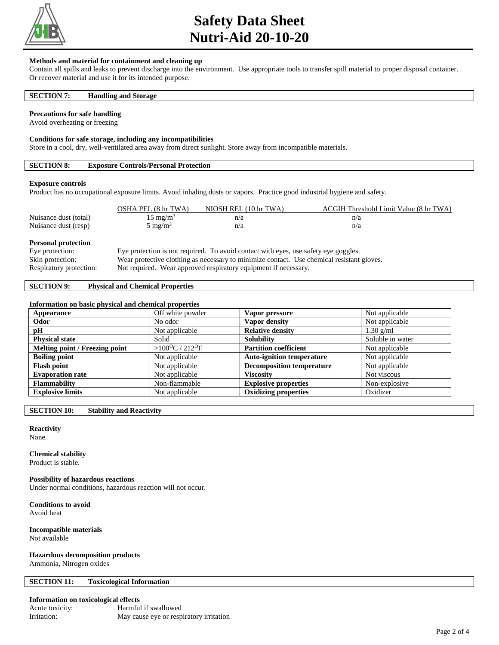

# **Safety Data Sheet Nutri-Aid 20-10-20**

## **Methods and material for containment and cleaning up**

Contain all spills and leaks to prevent discharge into the environment. Use appropriate tools to transfer spill material to proper disposal container. Or recover material and use it for its intended purpose.

## **SECTION 7: Handling and Storage**

### **Precautions for safe handling**

Avoid overheating or freezing

### **Conditions for safe storage, including any incompatibilities**

Store in a cool, dry, well-ventilated area away from direct sunlight. Store away from incompatible materials.

# **SECTION 8: Exposure Controls/Personal Protection**

### **Exposure controls**

Product has no occupational exposure limits. Avoid inhaling dusts or vapors. Practice good industrial hygiene and safety.

|                                               | OSHA PEL (8 hr TWA) | NIOSH REL (10 hr TWA)                                                               | ACGIH Threshold Limit Value (8 hr TWA) |
|-----------------------------------------------|---------------------|-------------------------------------------------------------------------------------|----------------------------------------|
| Nuisance dust (total)                         | $15 \text{ mg/m}^3$ | n/a                                                                                 | n/a                                    |
| Nuisance dust (resp)                          | $5 \text{ mg/m}^3$  | n/a                                                                                 | n/a                                    |
| <b>Personal protection</b><br>Eye protection: |                     | Eye protection is not required. To avoid contact with eyes, use safety eye goggles. |                                        |

### Skin protection: Wear protective clothing as necessary to minimize contact. Use chemical resistant gloves.

Respiratory protection: Not required. Wear approved respiratory equipment if necessary.

# **SECTION 9: Physical and Chemical Properties**

### **Information on basic physical and chemical properties**

| Appearance                     | Off white powder                       | Vapor pressure                   | Not applicable   |
|--------------------------------|----------------------------------------|----------------------------------|------------------|
| Odor                           | No odor                                | Vapor density                    | Not applicable   |
| pH                             | Not applicable                         | <b>Relative density</b>          | $1.30$ g/ml      |
| <b>Physical state</b>          | Solid                                  | <b>Solubility</b>                | Soluble in water |
| Melting point / Freezing point | > $100^{\circ}$ C / 212 <sup>o</sup> F | <b>Partition coefficient</b>     | Not applicable   |
| <b>Boiling point</b>           | Not applicable                         | <b>Auto-ignition temperature</b> | Not applicable   |
| <b>Flash point</b>             | Not applicable                         | <b>Decomposition temperature</b> | Not applicable   |
| <b>Evaporation rate</b>        | Not applicable                         | <b>Viscosity</b>                 | Not viscous      |
| <b>Flammability</b>            | Non-flammable                          | <b>Explosive properties</b>      | Non-explosive    |
| <b>Explosive limits</b>        | Not applicable                         | <b>Oxidizing properties</b>      | Oxidizer         |

**SECTION 10: Stability and Reactivity** 

# **Reactivity**

None

### **Chemical stability**

Product is stable.

## **Possibility of hazardous reactions**

Under normal conditions, hazardous reaction will not occur.

**Conditions to avoid**

Avoid heat

### **Incompatible materials** Not available

# **Hazardous decomposition products**

Ammonia, Nitrogen oxides

### **SECTION 11: Toxicological Information**

### **Information on toxicological effects**

| Acute toxicity: | Harmful if swallowed                    |
|-----------------|-----------------------------------------|
| Irritation:     | May cause eye or respiratory irritation |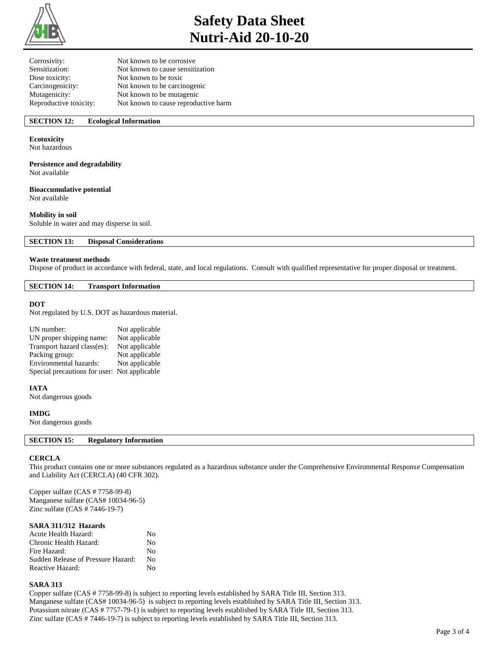

# **Safety Data Sheet Nutri-Aid 20-10-20**

| Not known to be corrosive            |
|--------------------------------------|
| Not known to cause sensitization     |
| Not known to be toxic                |
| Not known to be carcinogenic         |
| Not known to be mutagenic            |
| Not known to cause reproductive harm |
|                                      |

# **SECTION 12: Ecological Information**

## **Ecotoxicity**

Not hazardous

## **Persistence and degradability**

Not available

# **Bioaccumulative potential**

Not available

# **Mobility in soil**

Soluble in water and may disperse in soil.

**SECTION 13: Disposal Considerations** 

### **Waste treatment methods**

Dispose of product in accordance with federal, state, and local regulations. Consult with qualified representative for proper disposal or treatment.

### **SECTION 14: Transport Information**

### **DOT**

Not regulated by U.S. DOT as hazardous material.

| UN number:                                   | Not applicable |
|----------------------------------------------|----------------|
| UN proper shipping name:                     | Not applicable |
| Transport hazard class(es):                  | Not applicable |
| Packing group:                               | Not applicable |
| Environmental hazards:                       | Not applicable |
| Special precautions for user: Not applicable |                |

## **IATA**

Not dangerous goods

### **IMDG**

Not dangerous goods

# **SECTION 15: Regulatory Information**

## **CERCLA**

This product contains one or more substances regulated as a hazardous substance under the Comprehensive Environmental Response Compensation and Liability Act (CERCLA) (40 CFR 302).

Copper sulfate (CAS # 7758-99-8) Manganese sulfate (CAS# 10034-96-5) Zinc sulfate (CAS # 7446-19-7)

## **SARA 311/312 Hazards**

| Acute Health Hazard:               | Nο |
|------------------------------------|----|
| Chronic Health Hazard:             | No |
| Fire Hazard:                       | Nο |
| Sudden Release of Pressure Hazard: | Nο |
| Reactive Hazard:                   | Nο |

### **SARA 313**

Copper sulfate (CAS # 7758-99-8) is subject to reporting levels established by SARA Title III, Section 313. Manganese sulfate (CAS# 10034-96-5) is subject to reporting levels established by SARA Title III, Section 313. Potassium nitrate (CAS # 7757-79-1) is subject to reporting levels established by SARA Title III, Section 313. Zinc sulfate (CAS # 7446-19-7) is subject to reporting levels established by SARA Title III, Section 313.